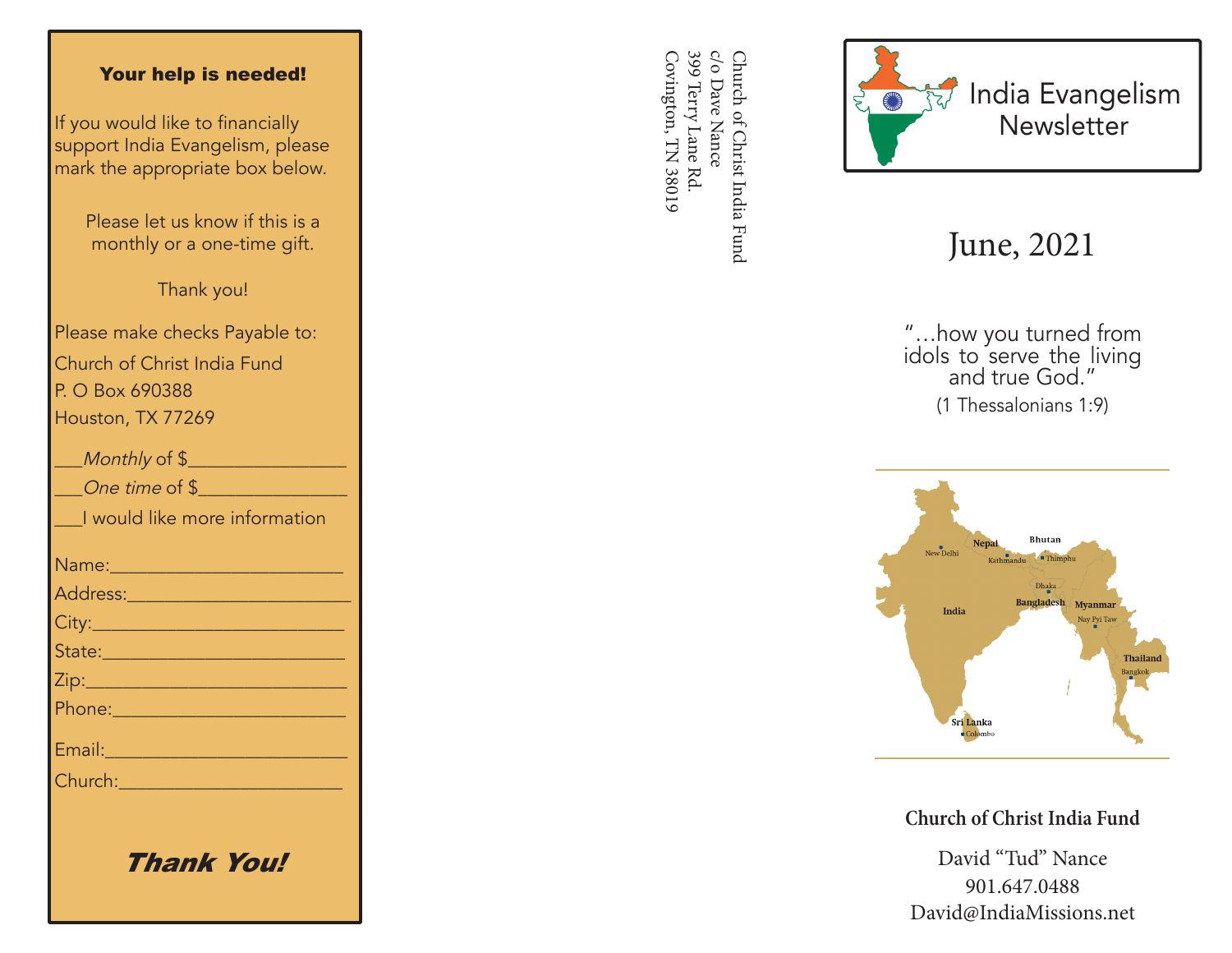## Your help is needed!

If you would like to financially support India Evangelism, please mark the appropriate box below.

> Please let us know if this is a monthly or a one-time gift.

> > Thank you!

Please make checks Payable to: Church of Christ India Fund P. O Box 690388 Houston, TX 77269

| Monthly of \$                                                                                                 |
|---------------------------------------------------------------------------------------------------------------|
| One time of \$                                                                                                |
| I would like more information                                                                                 |
| Name: 2008 2010 2021 2022 2023                                                                                |
| <u>Address: ________________________</u>                                                                      |
|                                                                                                               |
| State: 2008 - 2008 - 2010 - 2010 - 2011 - 2012 - 2012 - 2012 - 2014 - 2014 - 2014 - 2014 - 2014 - 2014 - 2014 |
|                                                                                                               |
|                                                                                                               |
| Email: 2008 - 2008 - 2014 - 2014 - 2014 - 2014 - 2014 - 2014 - 2014 - 2014 - 2014 - 2014 - 2014 - 2014 - 2014 |
| Church: <u>_______________</u>                                                                                |
|                                                                                                               |
|                                                                                                               |

Thank You!

399 Terry Lane Rd. c/o Dave Nance Covington, TN 38019 Covington, TN 38019 399 Terry Lane Rd. c/o Dave Nance Church of Christ India Fund Church of Christ India Fund



## June, 2021

"…how you turned from idols to serve the living and true God." (1 Thessalonians 1:9)



**Church of Christ India Fund**

David "Tud" Nance 901.647.0488 David@IndiaMissions.net